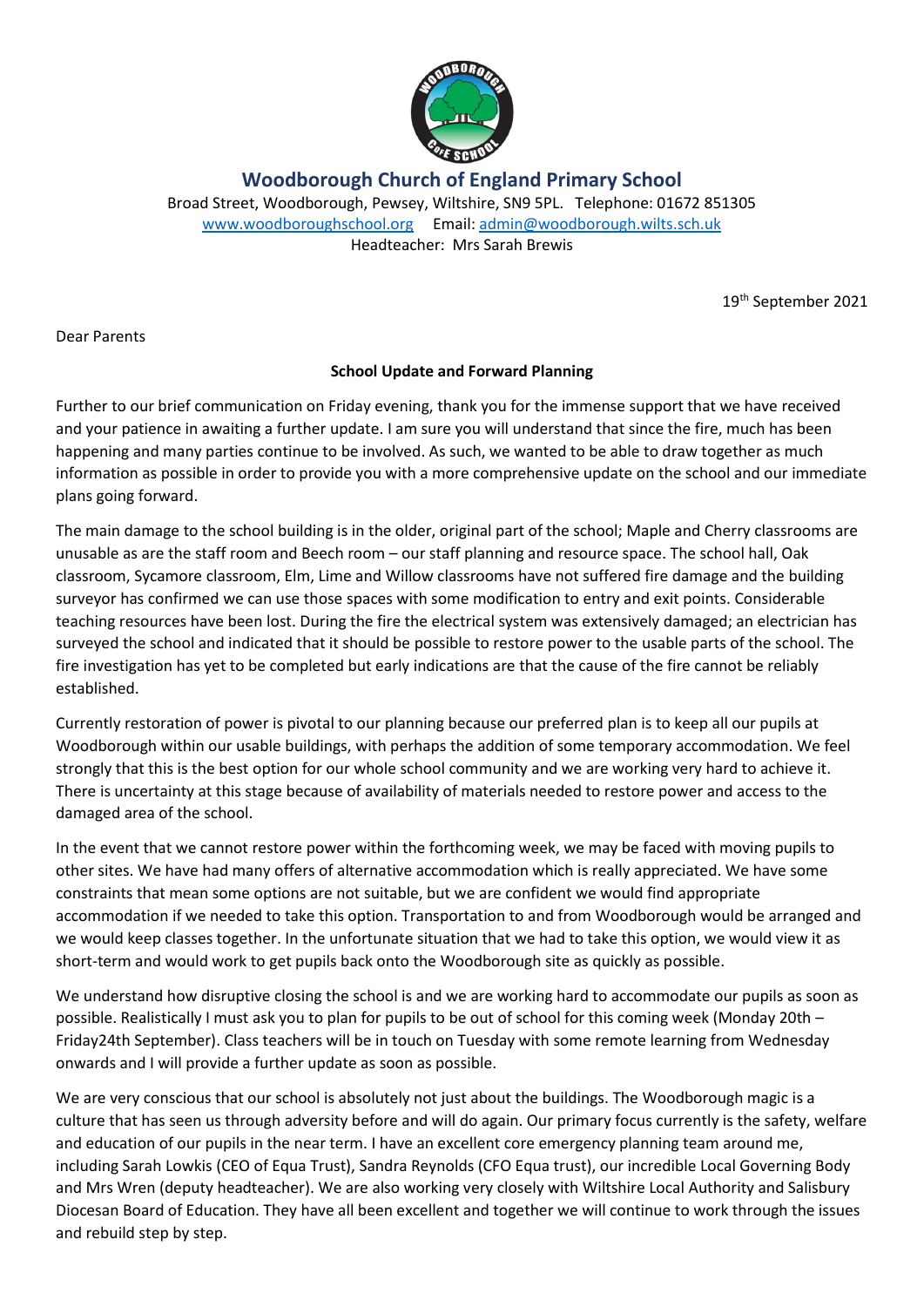

**Woodborough Church of England Primary School**

Broad Street, Woodborough, Pewsey, Wiltshire, SN9 5PL. Telephone: 01672 851305 [www.woodboroughschool.org](http://www.woodboroughschool.org/) Email: [admin@woodborough.wilts.sch.uk](mailto:admin@woodborough.wilts.sch.uk) Headteacher: Mrs Sarah Brewis

19th September 2021

Dear Parents

## **School Update and Forward Planning**

Further to our brief communication on Friday evening, thank you for the immense support that we have received and your patience in awaiting a further update. I am sure you will understand that since the fire, much has been happening and many parties continue to be involved. As such, we wanted to be able to draw together as much information as possible in order to provide you with a more comprehensive update on the school and our immediate plans going forward.

The main damage to the school building is in the older, original part of the school; Maple and Cherry classrooms are unusable as are the staff room and Beech room – our staff planning and resource space. The school hall, Oak classroom, Sycamore classroom, Elm, Lime and Willow classrooms have not suffered fire damage and the building surveyor has confirmed we can use those spaces with some modification to entry and exit points. Considerable teaching resources have been lost. During the fire the electrical system was extensively damaged; an electrician has surveyed the school and indicated that it should be possible to restore power to the usable parts of the school. The fire investigation has yet to be completed but early indications are that the cause of the fire cannot be reliably established.

Currently restoration of power is pivotal to our planning because our preferred plan is to keep all our pupils at Woodborough within our usable buildings, with perhaps the addition of some temporary accommodation. We feel strongly that this is the best option for our whole school community and we are working very hard to achieve it. There is uncertainty at this stage because of availability of materials needed to restore power and access to the damaged area of the school.

In the event that we cannot restore power within the forthcoming week, we may be faced with moving pupils to other sites. We have had many offers of alternative accommodation which is really appreciated. We have some constraints that mean some options are not suitable, but we are confident we would find appropriate accommodation if we needed to take this option. Transportation to and from Woodborough would be arranged and we would keep classes together. In the unfortunate situation that we had to take this option, we would view it as short-term and would work to get pupils back onto the Woodborough site as quickly as possible.

We understand how disruptive closing the school is and we are working hard to accommodate our pupils as soon as possible. Realistically I must ask you to plan for pupils to be out of school for this coming week (Monday 20th – Friday24th September). Class teachers will be in touch on Tuesday with some remote learning from Wednesday onwards and I will provide a further update as soon as possible.

We are very conscious that our school is absolutely not just about the buildings. The Woodborough magic is a culture that has seen us through adversity before and will do again. Our primary focus currently is the safety, welfare and education of our pupils in the near term. I have an excellent core emergency planning team around me, including Sarah Lowkis (CEO of Equa Trust), Sandra Reynolds (CFO Equa trust), our incredible Local Governing Body and Mrs Wren (deputy headteacher). We are also working very closely with Wiltshire Local Authority and Salisbury Diocesan Board of Education. They have all been excellent and together we will continue to work through the issues and rebuild step by step.